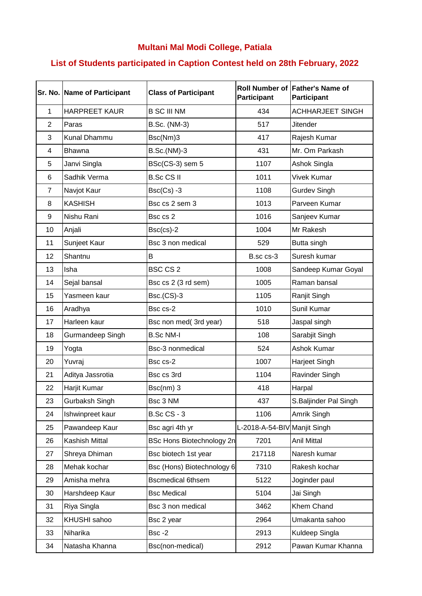## **Multani Mal Modi College, Patiala**

## **List of Students participated in Caption Contest held on 28th February, 2022**

| Sr. No.        | <b>Name of Participant</b> | <b>Class of Participant</b>      | Participant                  | Roll Number of Father's Name of<br>Participant |
|----------------|----------------------------|----------------------------------|------------------------------|------------------------------------------------|
| $\mathbf{1}$   | <b>HARPREET KAUR</b>       | <b>B SC III NM</b>               | 434                          | <b>ACHHARJEET SINGH</b>                        |
| $\overline{2}$ | Paras                      | B.Sc. (NM-3)                     | 517                          | <b>Jitender</b>                                |
| 3              | Kunal Dhammu               | Bsc(Nm)3                         | 417                          | Rajesh Kumar                                   |
| 4              | <b>Bhawna</b>              | <b>B.Sc.(NM)-3</b>               | 431                          | Mr. Om Parkash                                 |
| 5              | Janvi Singla               | BSc(CS-3) sem 5                  | 1107                         | Ashok Singla                                   |
| 6              | Sadhik Verma               | <b>B.Sc CS II</b>                | 1011                         | Vivek Kumar                                    |
| 7              | Navjot Kaur                | $Bsc(Cs) -3$                     | 1108                         | <b>Gurdev Singh</b>                            |
| 8              | <b>KASHISH</b>             | Bsc cs 2 sem 3                   | 1013                         | Parveen Kumar                                  |
| 9              | Nishu Rani                 | Bsc cs 2                         | 1016                         | Sanjeev Kumar                                  |
| 10             | Anjali                     | $Bsc(cs)-2$                      | 1004                         | Mr Rakesh                                      |
| 11             | Sunjeet Kaur               | Bsc 3 non medical                | 529                          | Butta singh                                    |
| 12             | Shantnu                    | B                                | B.sc cs-3                    | Suresh kumar                                   |
| 13             | Isha                       | BSC CS 2                         | 1008                         | Sandeep Kumar Goyal                            |
| 14             | Sejal bansal               | Bsc cs 2 (3 rd sem)              | 1005                         | Raman bansal                                   |
| 15             | Yasmeen kaur               | <b>Bsc.(CS)-3</b>                | 1105                         | Ranjit Singh                                   |
| 16             | Aradhya                    | Bsc cs-2                         | 1010                         | Sunil Kumar                                    |
| 17             | Harleen kaur               | Bsc non med(3rd year)            | 518                          | Jaspal singh                                   |
| 18             | Gurmandeep Singh           | <b>B.Sc NM-I</b>                 | 108                          | Sarabjit Singh                                 |
| 19             | Yogta                      | Bsc-3 nonmedical                 | 524                          | Ashok Kumar                                    |
| 20             | Yuvraj                     | Bsc cs-2                         | 1007                         | Harjeet Singh                                  |
| 21             | Aditya Jassrotia           | Bsc cs 3rd                       | 1104                         | Ravinder Singh                                 |
| 22             | Harjit Kumar               | Bsc(nm) 3                        | 418                          | Harpal                                         |
| 23             | Gurbaksh Singh             | Bsc 3 NM                         | 437                          | S.Baljinder Pal Singh                          |
| 24             | Ishwinpreet kaur           | <b>B.Sc CS - 3</b>               | 1106                         | Amrik Singh                                    |
| 25             | Pawandeep Kaur             | Bsc agri 4th yr                  | L-2018-A-54-BIV Manjit Singh |                                                |
| 26             | Kashish Mittal             | <b>BSc Hons Biotechnology 2n</b> | 7201                         | Anil Mittal                                    |
| 27             | Shreya Dhiman              | Bsc biotech 1st year             | 217118                       | Naresh kumar                                   |
| 28             | Mehak kochar               | Bsc (Hons) Biotechnology 6       | 7310                         | Rakesh kochar                                  |
| 29             | Amisha mehra               | <b>Bscmedical 6thsem</b>         | 5122                         | Joginder paul                                  |
| 30             | Harshdeep Kaur             | <b>Bsc Medical</b>               | 5104                         | Jai Singh                                      |
| 31             | Riya Singla                | Bsc 3 non medical                | 3462                         | Khem Chand                                     |
| 32             | KHUSHI sahoo               | Bsc 2 year                       | 2964                         | Umakanta sahoo                                 |
| 33             | Niharika                   | Bsc-2                            | 2913                         | Kuldeep Singla                                 |
| 34             | Natasha Khanna             | Bsc(non-medical)                 | 2912                         | Pawan Kumar Khanna                             |